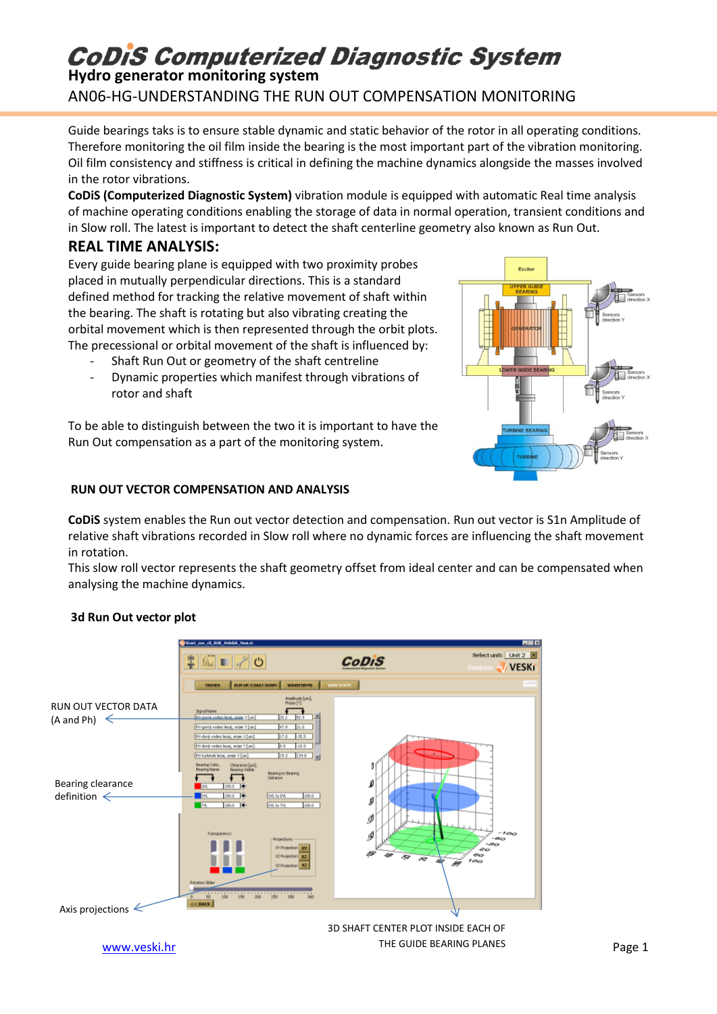## **CoDiS Computerized Diagnostic System**

### **Hydro generator monitoring system** AN06-HG-UNDERSTANDING THE RUN OUT COMPENSATION MONITORING

Guide bearings taks is to ensure stable dynamic and static behavior of the rotor in all operating conditions. Therefore monitoring the oil film inside the bearing is the most important part of the vibration monitoring. Oil film consistency and stiffness is critical in defining the machine dynamics alongside the masses involved in the rotor vibrations.

**CoDiS (Computerized Diagnostic System)** vibration module is equipped with automatic Real time analysis of machine operating conditions enabling the storage of data in normal operation, transient conditions and in Slow roll. The latest is important to detect the shaft centerline geometry also known as Run Out.

### **REAL TIME ANALYSIS:**

Every guide bearing plane is equipped with two proximity probes placed in mutually perpendicular directions. This is a standard defined method for tracking the relative movement of shaft within the bearing. The shaft is rotating but also vibrating creating the orbital movement which is then represented through the orbit plots. The precessional or orbital movement of the shaft is influenced by:

- Shaft Run Out or geometry of the shaft centreline
- Dynamic properties which manifest through vibrations of rotor and shaft

To be able to distinguish between the two it is important to have the Run Out compensation as a part of the monitoring system.

#### **RUN OUT VECTOR COMPENSATION AND ANALYSIS**

**CoDiS** system enables the Run out vector detection and compensation. Run out vector is S1n Amplitude of relative shaft vibrations recorded in Slow roll where no dynamic forces are influencing the shaft movement in rotation.

This slow roll vector represents the shaft geometry offset from ideal center and can be compensated when analysing the machine dynamics.

#### **3d Run Out vector plot**



[www.veski.hr](http://www.veski.hr/) Page 1 THE GUIDE BEARING PLANES 3D SHAFT CENTER PLOT INSIDE EACH OF



Evoire